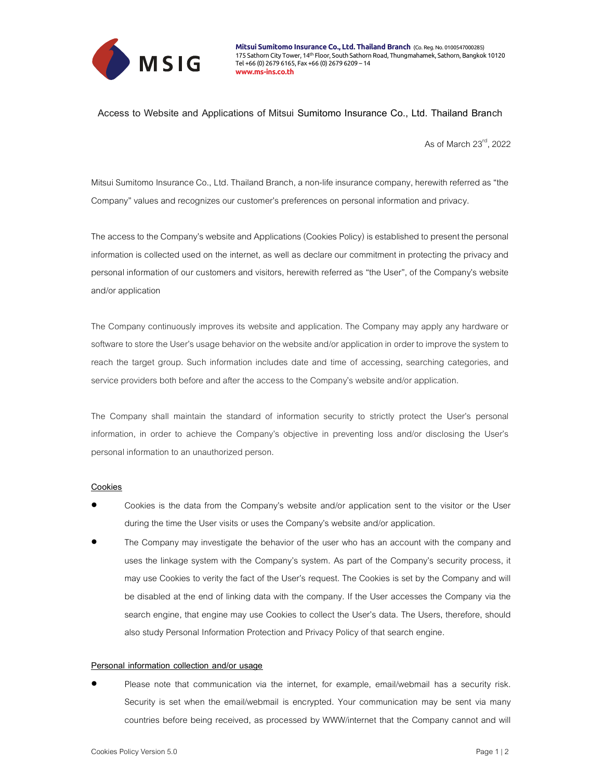

## Access to Website and Applications of Mitsui Sumitomo Insurance Co., Ltd. Thailand Branch

As of March 23rd, 2022

Mitsui Sumitomo Insurance Co., Ltd. Thailand Branch, a non-life insurance company, herewith referred as "the Company" values and recognizes our customer's preferences on personal information and privacy.

The access to the Company's website and Applications (Cookies Policy) is established to present the personal information is collected used on the internet, as well as declare our commitment in protecting the privacy and personal information of our customers and visitors, herewith referred as "the User", of the Company's website and/or application

The Company continuously improves its website and application. The Company may apply any hardware or software to store the User's usage behavior on the website and/or application in order to improve the system to reach the target group. Such information includes date and time of accessing, searching categories, and service providers both before and after the access to the Company's website and/or application.

The Company shall maintain the standard of information security to strictly protect the User's personal information, in order to achieve the Company's objective in preventing loss and/or disclosing the User's personal information to an unauthorized person.

# **Cookies**

- Cookies is the data from the Company's website and/or application sent to the visitor or the User during the time the User visits or uses the Company's website and/or application.
- The Company may investigate the behavior of the user who has an account with the company and uses the linkage system with the Company's system. As part of the Company's security process, it may use Cookies to verity the fact of the User's request. The Cookies is set by the Company and will be disabled at the end of linking data with the company. If the User accesses the Company via the search engine, that engine may use Cookies to collect the User's data. The Users, therefore, should also study Personal Information Protection and Privacy Policy of that search engine.

#### Personal information collection and/or usage

 Please note that communication via the internet, for example, email/webmail has a security risk. Security is set when the email/webmail is encrypted. Your communication may be sent via many countries before being received, as processed by WWW/internet that the Company cannot and will